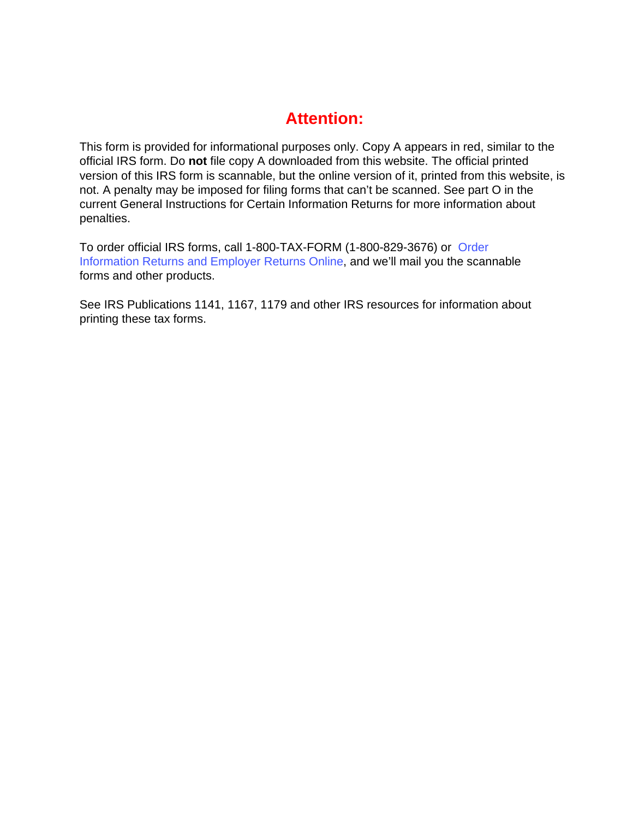## **Attention:**

This form is provided for informational purposes only. Copy A appears in red, similar to the official IRS form. Do **not** file copy A downloaded from this website. The official printed version of this IRS form is scannable, but the online version of it, printed from this website, is not. A penalty may be imposed for filing forms that can't be scanned. See part O in the current General Instructions for Certain Information Returns for more information about penalties.

To order official IRS forms, call 1-800-TAX-FORM (1-800-829-3676) or [Order](http://www.irs.gov/businesses/page/0,,id=23108,00.html)  [Information Returns and Employer Returns Online, and we'll mail you the s](http://www.irs.gov/businesses/page/0,,id=23108,00.html)cannable forms and other products.

See IRS Publications 1141, 1167, 1179 and other IRS resources for information about printing these tax forms.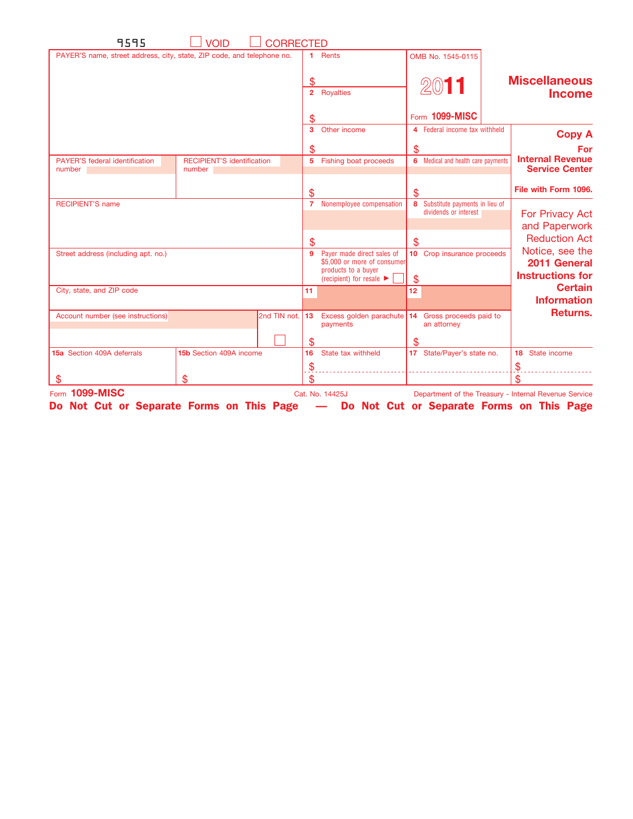| 9595                                            | <b>VOID</b><br>CORRECTED                                               |                                 |                                                                                  |     |                                                           |                                                       |
|-------------------------------------------------|------------------------------------------------------------------------|---------------------------------|----------------------------------------------------------------------------------|-----|-----------------------------------------------------------|-------------------------------------------------------|
|                                                 | PAYER'S name, street address, city, state, ZIP code, and telephone no. | 1.                              | Rents                                                                            |     | OMB No. 1545-0115                                         |                                                       |
|                                                 |                                                                        | \$                              | 2 Royalties                                                                      |     | 2011                                                      | <b>Miscellaneous</b><br><b>Income</b>                 |
|                                                 |                                                                        | S                               |                                                                                  |     | Form 1099-MISC                                            |                                                       |
|                                                 |                                                                        | 3                               | Other income                                                                     |     | 4 Federal income tax withheld                             | <b>Copy A</b>                                         |
|                                                 |                                                                        | \$                              |                                                                                  | \$  |                                                           | For                                                   |
| <b>PAYER'S federal identification</b><br>number | <b>RECIPIENT'S identification</b><br>number                            |                                 | 5 Fishing boat proceeds                                                          |     | 6 Medical and health care payments                        | <b>Internal Revenue</b><br><b>Service Center</b>      |
|                                                 |                                                                        | \$                              |                                                                                  | \$  |                                                           | File with Form 1096.                                  |
| <b>RECIPIENT'S name</b>                         |                                                                        |                                 | 7 Nonemployee compensation                                                       |     | 8 Substitute payments in lieu of<br>dividends or interest | For Privacy Act<br>and Paperwork                      |
|                                                 |                                                                        | \$                              |                                                                                  | \$  |                                                           | <b>Reduction Act</b>                                  |
| Street address (including apt. no.)             |                                                                        | 9                               | Payer made direct sales of<br>\$5,000 or more of consumer<br>products to a buyer |     | 10 Crop insurance proceeds                                | Notice, see the<br>2011 General                       |
|                                                 |                                                                        |                                 | (recipient) for resale $\blacktriangleright$                                     | \$  |                                                           | <b>Instructions for</b>                               |
| City, state, and ZIP code                       |                                                                        | 11                              |                                                                                  | 12  |                                                           | <b>Certain</b><br><b>Information</b>                  |
| Account number (see instructions)               | 2nd TIN not.                                                           | 13                              | Excess golden parachute 14 Gross proceeds paid to<br>payments                    |     | an attorney                                               | Returns.                                              |
|                                                 |                                                                        | \$                              |                                                                                  | \$. |                                                           |                                                       |
| 15a Section 409A deferrals                      | 15b Section 409A income                                                | 16<br>$\boldsymbol{\hat{\phi}}$ | State tax withheld                                                               |     | 17 State/Payer's state no.                                | 18 State income<br>$\mathfrak{F}$                     |
| \$                                              | \$                                                                     | \$                              |                                                                                  |     |                                                           | \$                                                    |
| Form 1099-MISC                                  | Do Not Cut or Separate Forms on This Page                              |                                 | Cat. No. 14425J<br>- Do Not Cut or Separate Forms on This Page                   |     |                                                           | Department of the Treasury - Internal Revenue Service |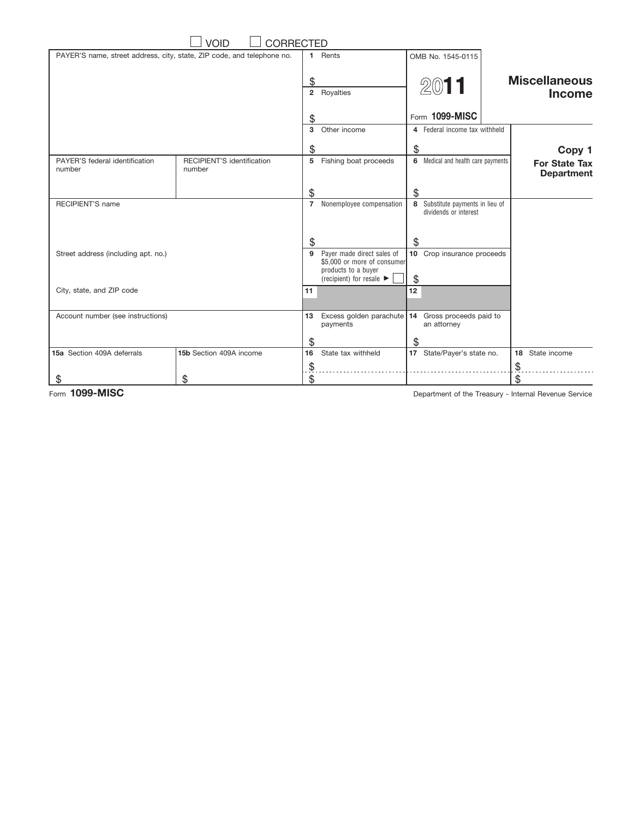|                                                                        | <b>VOID</b><br><b>CORRECTED</b>      |                           |                                                                                                                                  |    |                                                           |                                           |
|------------------------------------------------------------------------|--------------------------------------|---------------------------|----------------------------------------------------------------------------------------------------------------------------------|----|-----------------------------------------------------------|-------------------------------------------|
| PAYER'S name, street address, city, state, ZIP code, and telephone no. |                                      | 1.                        | Rents                                                                                                                            |    | OMB No. 1545-0115                                         |                                           |
|                                                                        |                                      | \$                        | 2 Royalties                                                                                                                      |    | 2011                                                      | <b>Miscellaneous</b><br><b>Income</b>     |
|                                                                        |                                      | \$                        |                                                                                                                                  |    | Form 1099-MISC                                            |                                           |
|                                                                        |                                      | $\mathbf{3}$              | Other income                                                                                                                     |    | 4 Federal income tax withheld                             |                                           |
|                                                                        |                                      | \$                        |                                                                                                                                  | \$ |                                                           | Copy 1                                    |
| PAYER'S federal identification<br>number                               | RECIPIENT'S identification<br>number | 5                         | Fishing boat proceeds                                                                                                            |    | 6 Medical and health care payments                        | <b>For State Tax</b><br><b>Department</b> |
|                                                                        |                                      | \$                        |                                                                                                                                  | \$ |                                                           |                                           |
| <b>RECIPIENT'S name</b>                                                |                                      | $\overline{7}$            | Nonemployee compensation                                                                                                         |    | 8 Substitute payments in lieu of<br>dividends or interest |                                           |
|                                                                        |                                      | \$                        |                                                                                                                                  | \$ |                                                           |                                           |
| Street address (including apt. no.)                                    |                                      | 9                         | Payer made direct sales of<br>\$5,000 or more of consumer<br>products to a buyer<br>(recipient) for resale $\blacktriangleright$ | \$ | 10 Crop insurance proceeds                                |                                           |
| City, state, and ZIP code                                              |                                      | 11                        |                                                                                                                                  | 12 |                                                           |                                           |
| Account number (see instructions)                                      |                                      | 13                        | Excess golden parachute<br>payments                                                                                              |    | 14 Gross proceeds paid to<br>an attorney                  |                                           |
|                                                                        |                                      | \$                        |                                                                                                                                  | \$ |                                                           |                                           |
| 15a Section 409A deferrals                                             | 15b Section 409A income              | 16                        | State tax withheld                                                                                                               |    | 17 State/Payer's state no.                                | 18<br>State income                        |
|                                                                        |                                      | $\widetilde{\mathcal{F}}$ |                                                                                                                                  |    |                                                           | \$                                        |
| S                                                                      | \$                                   | \$                        |                                                                                                                                  |    |                                                           | \$                                        |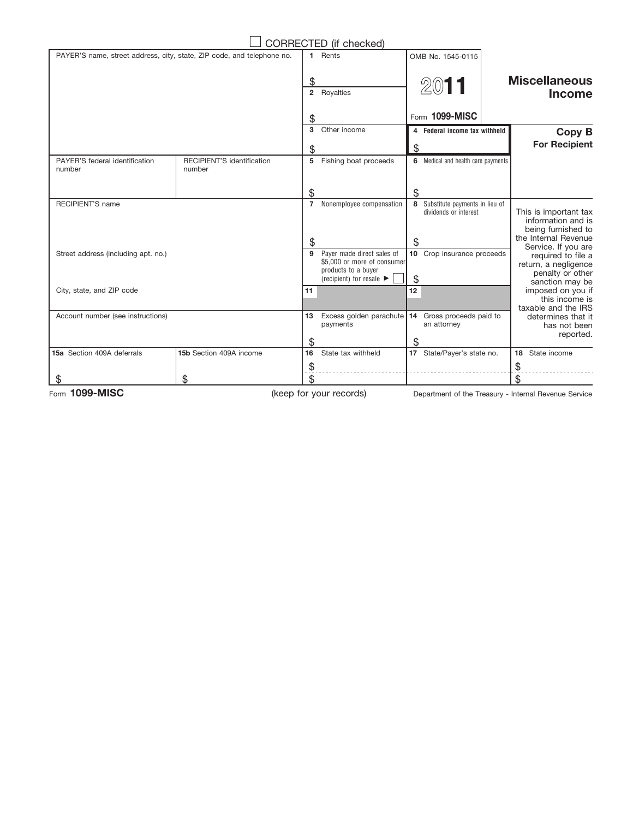|                                                                                         |                           | CORRECTED (if checked)                                                                                                           |    |                                                           |                                                                                                          |  |
|-----------------------------------------------------------------------------------------|---------------------------|----------------------------------------------------------------------------------------------------------------------------------|----|-----------------------------------------------------------|----------------------------------------------------------------------------------------------------------|--|
| PAYER'S name, street address, city, state, ZIP code, and telephone no.                  | 1.                        | Rents                                                                                                                            |    | OMB No. 1545-0115                                         |                                                                                                          |  |
|                                                                                         |                           | 2 Royalties                                                                                                                      |    | 2011                                                      | <b>Miscellaneous</b><br><b>Income</b>                                                                    |  |
|                                                                                         | \$                        |                                                                                                                                  |    | Form 1099-MISC                                            |                                                                                                          |  |
|                                                                                         | 3                         | Other income                                                                                                                     |    | 4 Federal income tax withheld                             | Copy B                                                                                                   |  |
|                                                                                         | \$                        |                                                                                                                                  | \$ |                                                           | <b>For Recipient</b>                                                                                     |  |
| <b>RECIPIENT'S identification</b><br>PAYER'S federal identification<br>number<br>number |                           | 5 Fishing boat proceeds                                                                                                          |    | 6 Medical and health care payments                        |                                                                                                          |  |
|                                                                                         | \$                        |                                                                                                                                  | \$ |                                                           |                                                                                                          |  |
| <b>RECIPIENT'S name</b>                                                                 | $\overline{7}$<br>\$      | Nonemployee compensation                                                                                                         | \$ | 8 Substitute payments in lieu of<br>dividends or interest | This is important tax<br>information and is<br>being furnished to<br>the Internal Revenue                |  |
| Street address (including apt. no.)                                                     | 9                         | Payer made direct sales of<br>\$5,000 or more of consumer<br>products to a buyer<br>(recipient) for resale $\blacktriangleright$ | \$ | 10 Crop insurance proceeds                                | Service. If you are<br>required to file a<br>return, a negligence<br>penalty or other<br>sanction may be |  |
| City, state, and ZIP code                                                               | 11                        |                                                                                                                                  | 12 |                                                           | imposed on you if<br>this income is<br>taxable and the IRS                                               |  |
| Account number (see instructions)                                                       | \$                        | 13 Excess golden parachute 14 Gross proceeds paid to<br>payments                                                                 | \$ | an attorney                                               | determines that it<br>has not been<br>reported.                                                          |  |
| 15a Section 409A deferrals<br>15b Section 409A income                                   | 16                        | State tax withheld                                                                                                               |    | 17 State/Payer's state no.                                | State income<br>18                                                                                       |  |
|                                                                                         | $\widetilde{\mathcal{F}}$ |                                                                                                                                  |    |                                                           | \$                                                                                                       |  |
| \$<br>S<br>$1000$ MICO                                                                  | \$                        | $\ell = 1 - \epsilon$                                                                                                            |    |                                                           | \$                                                                                                       |  |

(keep for your records)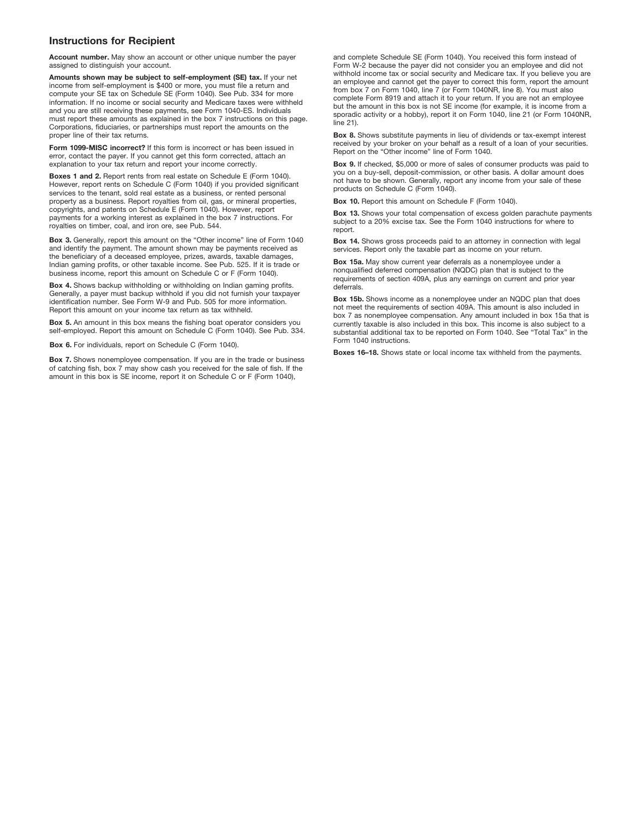## **Instructions for Recipient**

**Account number.** May show an account or other unique number the payer assigned to distinguish your account.

**Amounts shown may be subject to self-employment (SE) tax.** If your net income from self-employment is \$400 or more, you must file a return and compute your SE tax on Schedule SE (Form 1040). See Pub. 334 for more information. If no income or social security and Medicare taxes were withheld and you are still receiving these payments, see Form 1040-ES. Individuals must report these amounts as explained in the box 7 instructions on this page. Corporations, fiduciaries, or partnerships must report the amounts on the proper line of their tax returns.

**Form 1099-MISC incorrect?** If this form is incorrect or has been issued in error, contact the payer. If you cannot get this form corrected, attach an explanation to your tax return and report your income correctly.

**Boxes 1 and 2.** Report rents from real estate on Schedule E (Form 1040). However, report rents on Schedule C (Form 1040) if you provided significant services to the tenant, sold real estate as a business, or rented personal property as a business. Report royalties from oil, gas, or mineral properties, copyrights, and patents on Schedule E (Form 1040). However, report payments for a working interest as explained in the box 7 instructions. For royalties on timber, coal, and iron ore, see Pub. 544.

**Box 3.** Generally, report this amount on the "Other income" line of Form 1040 and identify the payment. The amount shown may be payments received as the beneficiary of a deceased employee, prizes, awards, taxable damages, Indian gaming profits, or other taxable income. See Pub. 525. If it is trade or business income, report this amount on Schedule C or F (Form 1040).

**Box 4.** Shows backup withholding or withholding on Indian gaming profits. Generally, a payer must backup withhold if you did not furnish your taxpayer identification number. See Form W-9 and Pub. 505 for more information. Report this amount on your income tax return as tax withheld.

**Box 5.** An amount in this box means the fishing boat operator considers you self-employed. Report this amount on Schedule C (Form 1040). See Pub. 334.

**Box 6.** For individuals, report on Schedule C (Form 1040).

**Box 7.** Shows nonemployee compensation. If you are in the trade or business of catching fish, box 7 may show cash you received for the sale of fish. If the amount in this box is SE income, report it on Schedule C or F (Form 1040),

and complete Schedule SE (Form 1040). You received this form instead of Form W-2 because the payer did not consider you an employee and did not withhold income tax or social security and Medicare tax. If you believe you are an employee and cannot get the payer to correct this form, report the amount from box 7 on Form 1040, line 7 (or Form 1040NR, line 8). You must also complete Form 8919 and attach it to your return. If you are not an employee but the amount in this box is not SE income (for example, it is income from a sporadic activity or a hobby), report it on Form 1040, line 21 (or Form 1040NR, line 21).

**Box 8.** Shows substitute payments in lieu of dividends or tax-exempt interest received by your broker on your behalf as a result of a loan of your securities. Report on the "Other income" line of Form 1040.

**Box 9.** If checked, \$5,000 or more of sales of consumer products was paid to you on a buy-sell, deposit-commission, or other basis. A dollar amount does not have to be shown. Generally, report any income from your sale of these products on Schedule C (Form 1040).

**Box 10.** Report this amount on Schedule F (Form 1040).

**Box 13.** Shows your total compensation of excess golden parachute payments subject to a 20% excise tax. See the Form 1040 instructions for where to report.

**Box 14.** Shows gross proceeds paid to an attorney in connection with legal services. Report only the taxable part as income on your return.

**Box 15a.** May show current year deferrals as a nonemployee under a nonqualified deferred compensation (NQDC) plan that is subject to the requirements of section 409A, plus any earnings on current and prior year deferrals.

**Box 15b.** Shows income as a nonemployee under an NQDC plan that does not meet the requirements of section 409A. This amount is also included in box 7 as nonemployee compensation. Any amount included in box 15a that is currently taxable is also included in this box. This income is also subject to a substantial additional tax to be reported on Form 1040. See "Total Tax" in the Form 1040 instructions.

**Boxes 16–18.** Shows state or local income tax withheld from the payments.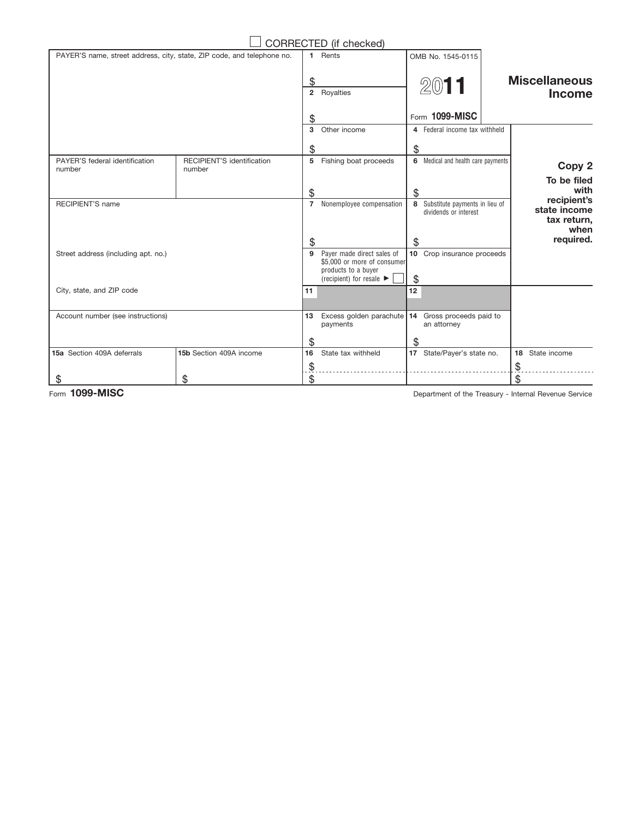|                                                                        |                                      |                              | CORRECTED (if checked)                                                                                                           |    |                                                           |                                                    |
|------------------------------------------------------------------------|--------------------------------------|------------------------------|----------------------------------------------------------------------------------------------------------------------------------|----|-----------------------------------------------------------|----------------------------------------------------|
| PAYER'S name, street address, city, state, ZIP code, and telephone no. |                                      | 1.                           | Rents                                                                                                                            |    | OMB No. 1545-0115                                         |                                                    |
|                                                                        |                                      | \$                           | 2 Royalties                                                                                                                      |    | 2011                                                      | <b>Miscellaneous</b><br><b>Income</b>              |
|                                                                        |                                      | S                            |                                                                                                                                  |    | Form 1099-MISC                                            |                                                    |
|                                                                        |                                      | $\mathbf{3}$                 | Other income                                                                                                                     |    | 4 Federal income tax withheld                             |                                                    |
|                                                                        |                                      | \$                           |                                                                                                                                  | \$ |                                                           |                                                    |
| PAYER'S federal identification<br>number                               | RECIPIENT'S identification<br>number | 5                            | Fishing boat proceeds                                                                                                            |    | 6 Medical and health care payments                        | Copy 2                                             |
|                                                                        |                                      | \$                           |                                                                                                                                  | \$ |                                                           | To be filed<br>with                                |
| <b>RECIPIENT'S name</b>                                                |                                      | $\overline{7}$               | Nonemployee compensation                                                                                                         |    | 8 Substitute payments in lieu of<br>dividends or interest | recipient's<br>state income<br>tax return,<br>when |
|                                                                        |                                      | \$                           |                                                                                                                                  | \$ |                                                           | required.                                          |
| Street address (including apt. no.)                                    |                                      | 9                            | Payer made direct sales of<br>\$5,000 or more of consumer<br>products to a buyer<br>(recipient) for resale $\blacktriangleright$ | \$ | 10 Crop insurance proceeds                                |                                                    |
| City, state, and ZIP code                                              |                                      | 11                           |                                                                                                                                  | 12 |                                                           |                                                    |
| Account number (see instructions)                                      |                                      | 13                           | Excess golden parachute<br>payments                                                                                              |    | 14 Gross proceeds paid to<br>an attorney                  |                                                    |
| 15a Section 409A deferrals                                             | 15b Section 409A income              | \$<br>16                     | State tax withheld                                                                                                               | \$ |                                                           | State income                                       |
|                                                                        |                                      |                              |                                                                                                                                  |    | 17 State/Payer's state no.                                | 18                                                 |
| S                                                                      | \$                                   | $\tilde{\vec{\theta}}$<br>\$ |                                                                                                                                  |    |                                                           | \$<br>\$                                           |
|                                                                        |                                      |                              |                                                                                                                                  |    |                                                           |                                                    |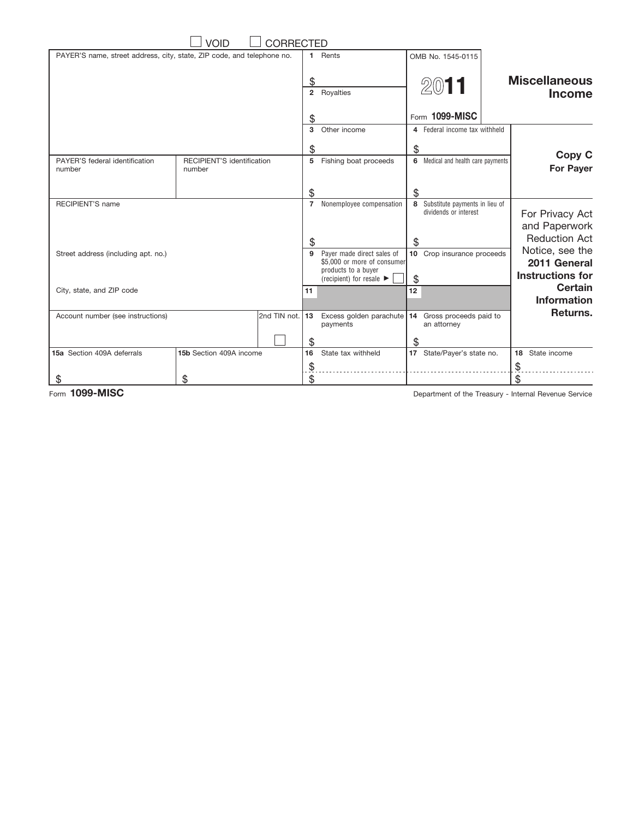| VOID<br><b>CORRECTED</b>                                               |                                      |              |                                 |                                                                                                                                  |    |                                                           |  |                                                            |
|------------------------------------------------------------------------|--------------------------------------|--------------|---------------------------------|----------------------------------------------------------------------------------------------------------------------------------|----|-----------------------------------------------------------|--|------------------------------------------------------------|
| PAYER'S name, street address, city, state, ZIP code, and telephone no. |                                      |              | 1.                              | Rents                                                                                                                            |    | OMB No. 1545-0115                                         |  |                                                            |
|                                                                        |                                      |              | \$<br>$\overline{2}$            | Royalties                                                                                                                        |    | 2011                                                      |  | <b>Miscellaneous</b><br><b>Income</b>                      |
|                                                                        |                                      |              | \$                              |                                                                                                                                  |    | Form 1099-MISC                                            |  |                                                            |
|                                                                        |                                      |              | 3                               | Other income                                                                                                                     |    | 4 Federal income tax withheld                             |  |                                                            |
|                                                                        |                                      |              | \$                              |                                                                                                                                  | \$ |                                                           |  |                                                            |
| PAYER'S federal identification<br>number                               | RECIPIENT'S identification<br>number |              |                                 | 5 Fishing boat proceeds                                                                                                          |    | 6 Medical and health care payments                        |  | Copy C<br><b>For Payer</b>                                 |
|                                                                        |                                      |              | \$                              |                                                                                                                                  | \$ |                                                           |  |                                                            |
| <b>RECIPIENT'S name</b>                                                |                                      |              | $7^{\circ}$                     | Nonemployee compensation                                                                                                         |    | 8 Substitute payments in lieu of<br>dividends or interest |  | For Privacy Act<br>and Paperwork                           |
|                                                                        |                                      |              | \$                              |                                                                                                                                  | \$ |                                                           |  | <b>Reduction Act</b>                                       |
| Street address (including apt. no.)                                    |                                      |              | 9                               | Payer made direct sales of<br>\$5,000 or more of consumer<br>products to a buyer<br>(recipient) for resale $\blacktriangleright$ | \$ | 10 Crop insurance proceeds                                |  | Notice, see the<br>2011 General<br><b>Instructions for</b> |
| City, state, and ZIP code                                              |                                      |              | 11                              |                                                                                                                                  | 12 |                                                           |  | <b>Certain</b><br><b>Information</b>                       |
| Account number (see instructions)                                      |                                      | 2nd TIN not. | 13<br>\$                        | Excess golden parachute<br>payments                                                                                              | \$ | 14 Gross proceeds paid to<br>an attorney                  |  | Returns.                                                   |
| 15a Section 409A deferrals                                             | 15b Section 409A income              |              | 16                              | State tax withheld                                                                                                               |    | 17 State/Payer's state no.                                |  | State income<br>18                                         |
| \$                                                                     | \$                                   |              | $\widetilde{\mathcal{F}}$<br>\$ |                                                                                                                                  |    |                                                           |  | \$<br>\$                                                   |